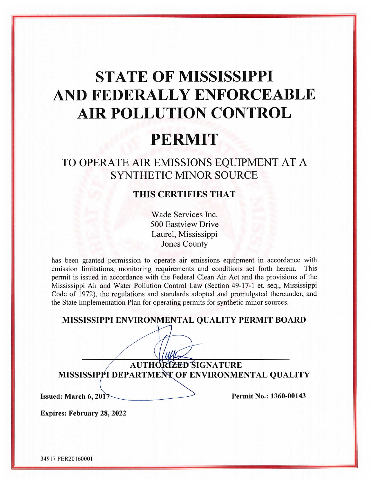# **STATE OF MISSISSIPPI** AND FEDERALLY ENFORCEABLE **AIR POLLUTION CONTROL**

## **PERMIT**

### TO OPERATE AIR EMISSIONS EQUIPMENT AT A **SYNTHETIC MINOR SOURCE**

#### THIS CERTIFIES THAT

Wade Services Inc. 500 Eastview Drive Laurel, Mississippi **Jones County** 

has been granted permission to operate air emissions equipment in accordance with emission limitations, monitoring requirements and conditions set forth herein. This permit is issued in accordance with the Federal Clean Air Act and the provisions of the Mississippi Air and Water Pollution Control Law (Section 49-17-1 et. seq., Mississippi Code of 1972), the regulations and standards adopted and promulgated thereunder, and the State Implementation Plan for operating permits for synthetic minor sources.

MISSISSIPPI ENVIRONMENTAL QUALITY PERMIT BOARD

**AUTHORIZED SIGNATURE** MISSISSIPPI DEPARTMENT OF ENVIRONMENTAL QUALITY

Issued: March 6, 2017

Permit No.: 1360-00143

**Expires: February 28, 2022**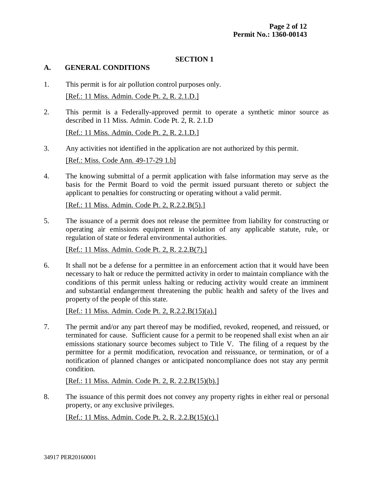#### **SECTION 1**

#### **A. GENERAL CONDITIONS**

- 1. This permit is for air pollution control purposes only. [Ref.: 11 Miss. Admin. Code Pt. 2, R. 2.1.D.]
- 2. This permit is a Federally-approved permit to operate a synthetic minor source as described in 11 Miss. Admin. Code Pt. 2, R. 2.1.D [Ref.: 11 Miss. Admin. Code Pt. 2, R. 2.1.D.]
- 3. Any activities not identified in the application are not authorized by this permit. [Ref.: Miss. Code Ann. 49-17-29 1.b]
- 4. The knowing submittal of a permit application with false information may serve as the basis for the Permit Board to void the permit issued pursuant thereto or subject the applicant to penalties for constructing or operating without a valid permit.

[Ref.: 11 Miss. Admin. Code Pt. 2, R.2.2.B(5).]

5. The issuance of a permit does not release the permittee from liability for constructing or operating air emissions equipment in violation of any applicable statute, rule, or regulation of state or federal environmental authorities.

[Ref.: 11 Miss. Admin. Code Pt. 2, R. 2.2.B(7).]

6. It shall not be a defense for a permittee in an enforcement action that it would have been necessary to halt or reduce the permitted activity in order to maintain compliance with the conditions of this permit unless halting or reducing activity would create an imminent and substantial endangerment threatening the public health and safety of the lives and property of the people of this state.

[Ref.: 11 Miss. Admin. Code Pt. 2, R.2.2.B(15)(a).]

7. The permit and/or any part thereof may be modified, revoked, reopened, and reissued, or terminated for cause. Sufficient cause for a permit to be reopened shall exist when an air emissions stationary source becomes subject to Title V. The filing of a request by the permittee for a permit modification, revocation and reissuance, or termination, or of a notification of planned changes or anticipated noncompliance does not stay any permit condition.

[Ref.: 11 Miss. Admin. Code Pt. 2, R. 2.2.B(15)(b).]

8. The issuance of this permit does not convey any property rights in either real or personal property, or any exclusive privileges.

[Ref.: 11 Miss. Admin. Code Pt. 2, R. 2.2.B(15)(c).]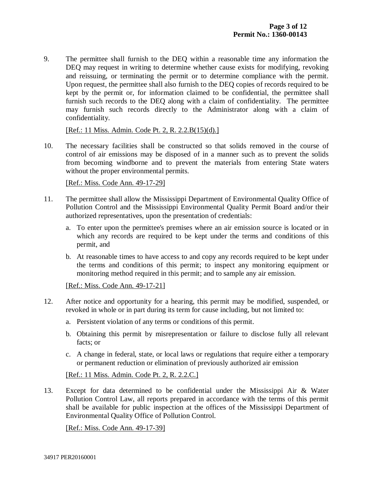9. The permittee shall furnish to the DEQ within a reasonable time any information the DEQ may request in writing to determine whether cause exists for modifying, revoking and reissuing, or terminating the permit or to determine compliance with the permit. Upon request, the permittee shall also furnish to the DEQ copies of records required to be kept by the permit or, for information claimed to be confidential, the permittee shall furnish such records to the DEQ along with a claim of confidentiality. The permittee may furnish such records directly to the Administrator along with a claim of confidentiality.

[Ref.: 11 Miss. Admin. Code Pt. 2, R. 2.2.B(15)(d).]

10. The necessary facilities shall be constructed so that solids removed in the course of control of air emissions may be disposed of in a manner such as to prevent the solids from becoming windborne and to prevent the materials from entering State waters without the proper environmental permits.

[Ref.: Miss. Code Ann. 49-17-29]

- 11. The permittee shall allow the Mississippi Department of Environmental Quality Office of Pollution Control and the Mississippi Environmental Quality Permit Board and/or their authorized representatives, upon the presentation of credentials:
	- a. To enter upon the permittee's premises where an air emission source is located or in which any records are required to be kept under the terms and conditions of this permit, and
	- b. At reasonable times to have access to and copy any records required to be kept under the terms and conditions of this permit; to inspect any monitoring equipment or monitoring method required in this permit; and to sample any air emission.

[Ref.: Miss. Code Ann. 49-17-21]

- 12. After notice and opportunity for a hearing, this permit may be modified, suspended, or revoked in whole or in part during its term for cause including, but not limited to:
	- a. Persistent violation of any terms or conditions of this permit.
	- b. Obtaining this permit by misrepresentation or failure to disclose fully all relevant facts; or
	- c. A change in federal, state, or local laws or regulations that require either a temporary or permanent reduction or elimination of previously authorized air emission

[Ref.: 11 Miss. Admin. Code Pt. 2, R. 2.2.C.]

13. Except for data determined to be confidential under the Mississippi Air & Water Pollution Control Law, all reports prepared in accordance with the terms of this permit shall be available for public inspection at the offices of the Mississippi Department of Environmental Quality Office of Pollution Control.

[Ref.: Miss. Code Ann. 49-17-39]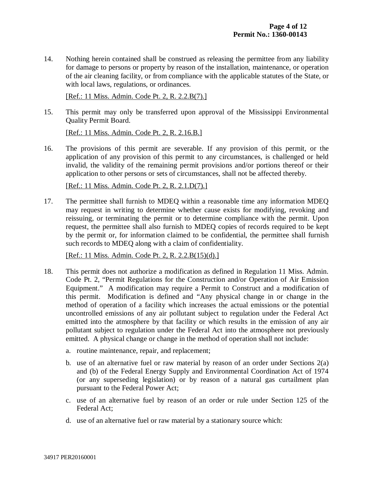14. Nothing herein contained shall be construed as releasing the permittee from any liability for damage to persons or property by reason of the installation, maintenance, or operation of the air cleaning facility, or from compliance with the applicable statutes of the State, or with local laws, regulations, or ordinances.

[Ref.: 11 Miss. Admin. Code Pt. 2, R. 2.2.B(7).]

15. This permit may only be transferred upon approval of the Mississippi Environmental Quality Permit Board.

[Ref.: 11 Miss. Admin. Code Pt. 2, R. 2.16.B.]

16. The provisions of this permit are severable. If any provision of this permit, or the application of any provision of this permit to any circumstances, is challenged or held invalid, the validity of the remaining permit provisions and/or portions thereof or their application to other persons or sets of circumstances, shall not be affected thereby.

[Ref.: 11 Miss. Admin. Code Pt. 2, R. 2.1.D(7).]

17. The permittee shall furnish to MDEQ within a reasonable time any information MDEQ may request in writing to determine whether cause exists for modifying, revoking and reissuing, or terminating the permit or to determine compliance with the permit. Upon request, the permittee shall also furnish to MDEQ copies of records required to be kept by the permit or, for information claimed to be confidential, the permittee shall furnish such records to MDEQ along with a claim of confidentiality.

[Ref.: 11 Miss. Admin. Code Pt. 2, R. 2.2.B(15)(d).]

- 18. This permit does not authorize a modification as defined in Regulation 11 Miss. Admin. Code Pt. 2, "Permit Regulations for the Construction and/or Operation of Air Emission Equipment." A modification may require a Permit to Construct and a modification of this permit. Modification is defined and "Any physical change in or change in the method of operation of a facility which increases the actual emissions or the potential uncontrolled emissions of any air pollutant subject to regulation under the Federal Act emitted into the atmosphere by that facility or which results in the emission of any air pollutant subject to regulation under the Federal Act into the atmosphere not previously emitted. A physical change or change in the method of operation shall not include:
	- a. routine maintenance, repair, and replacement;
	- b. use of an alternative fuel or raw material by reason of an order under Sections 2(a) and (b) of the Federal Energy Supply and Environmental Coordination Act of 1974 (or any superseding legislation) or by reason of a natural gas curtailment plan pursuant to the Federal Power Act;
	- c. use of an alternative fuel by reason of an order or rule under Section 125 of the Federal Act;
	- d. use of an alternative fuel or raw material by a stationary source which: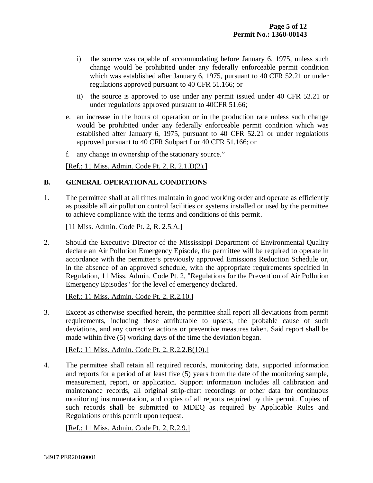- i) the source was capable of accommodating before January 6, 1975, unless such change would be prohibited under any federally enforceable permit condition which was established after January 6, 1975, pursuant to 40 CFR 52.21 or under regulations approved pursuant to 40 CFR 51.166; or
- ii) the source is approved to use under any permit issued under 40 CFR 52.21 or under regulations approved pursuant to 40CFR 51.66;
- e. an increase in the hours of operation or in the production rate unless such change would be prohibited under any federally enforceable permit condition which was established after January 6, 1975, pursuant to 40 CFR 52.21 or under regulations approved pursuant to 40 CFR Subpart I or 40 CFR 51.166; or
- f. any change in ownership of the stationary source."

[Ref.: 11 Miss. Admin. Code Pt. 2, R. 2.1.D(2).]

#### **B. GENERAL OPERATIONAL CONDITIONS**

1. The permittee shall at all times maintain in good working order and operate as efficiently as possible all air pollution control facilities or systems installed or used by the permittee to achieve compliance with the terms and conditions of this permit.

[11 Miss. Admin. Code Pt. 2, R. 2.5.A.]

2. Should the Executive Director of the Mississippi Department of Environmental Quality declare an Air Pollution Emergency Episode, the permittee will be required to operate in accordance with the permittee's previously approved Emissions Reduction Schedule or, in the absence of an approved schedule, with the appropriate requirements specified in Regulation, 11 Miss. Admin. Code Pt. 2, "Regulations for the Prevention of Air Pollution Emergency Episodes" for the level of emergency declared.

[Ref.: 11 Miss. Admin. Code Pt. 2, R.2.10.]

3. Except as otherwise specified herein, the permittee shall report all deviations from permit requirements, including those attributable to upsets, the probable cause of such deviations, and any corrective actions or preventive measures taken. Said report shall be made within five (5) working days of the time the deviation began.

[Ref.: 11 Miss. Admin. Code Pt. 2, R.2.2.B(10).]

4. The permittee shall retain all required records, monitoring data, supported information and reports for a period of at least five (5) years from the date of the monitoring sample, measurement, report, or application. Support information includes all calibration and maintenance records, all original strip-chart recordings or other data for continuous monitoring instrumentation, and copies of all reports required by this permit. Copies of such records shall be submitted to MDEQ as required by Applicable Rules and Regulations or this permit upon request.

[Ref.: 11 Miss. Admin. Code Pt. 2, R.2.9.]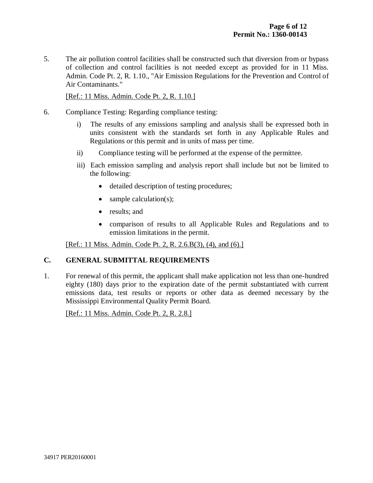5. The air pollution control facilities shall be constructed such that diversion from or bypass of collection and control facilities is not needed except as provided for in 11 Miss. Admin. Code Pt. 2, R. 1.10., "Air Emission Regulations for the Prevention and Control of Air Contaminants."

[Ref.: 11 Miss. Admin. Code Pt. 2, R. 1.10.]

- 6. Compliance Testing: Regarding compliance testing:
	- i) The results of any emissions sampling and analysis shall be expressed both in units consistent with the standards set forth in any Applicable Rules and Regulations or this permit and in units of mass per time.
	- ii) Compliance testing will be performed at the expense of the permittee.
	- iii) Each emission sampling and analysis report shall include but not be limited to the following:
		- detailed description of testing procedures;
		- $\bullet$  sample calculation(s);
		- results; and
		- comparison of results to all Applicable Rules and Regulations and to emission limitations in the permit.

[Ref.: 11 Miss. Admin. Code Pt. 2, R. 2.6.B(3), (4), and (6).]

#### **C. GENERAL SUBMITTAL REQUIREMENTS**

1. For renewal of this permit, the applicant shall make application not less than one-hundred eighty (180) days prior to the expiration date of the permit substantiated with current emissions data, test results or reports or other data as deemed necessary by the Mississippi Environmental Quality Permit Board.

[Ref.: 11 Miss. Admin. Code Pt. 2, R. 2.8.]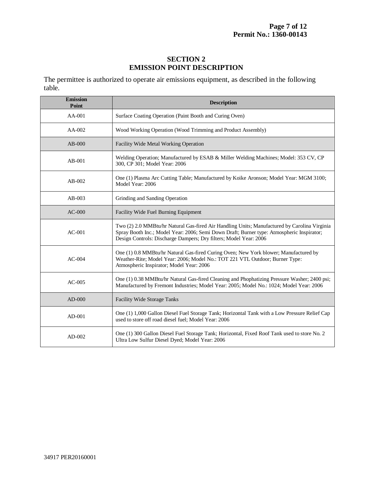#### **SECTION 2 EMISSION POINT DESCRIPTION**

The permittee is authorized to operate air emissions equipment, as described in the following table.

| <b>Emission</b><br>Point | <b>Description</b>                                                                                                                                                                                                                                             |  |  |
|--------------------------|----------------------------------------------------------------------------------------------------------------------------------------------------------------------------------------------------------------------------------------------------------------|--|--|
| $AA-001$                 | Surface Coating Operation (Paint Booth and Curing Oven)                                                                                                                                                                                                        |  |  |
| AA-002                   | Wood Working Operation (Wood Trimming and Product Assembly)                                                                                                                                                                                                    |  |  |
| $AB-000$                 | Facility Wide Metal Working Operation                                                                                                                                                                                                                          |  |  |
| $AB-001$                 | Welding Operation; Manufactured by ESAB & Miller Welding Machines; Model: 353 CV, CP<br>300, CP 301; Model Year: 2006                                                                                                                                          |  |  |
| $AB-002$                 | One (1) Plasma Arc Cutting Table; Manufactured by Koike Aronson; Model Year: MGM 3100;<br>Model Year: 2006                                                                                                                                                     |  |  |
| $AB-003$                 | Grinding and Sanding Operation                                                                                                                                                                                                                                 |  |  |
| $AC-000$                 | Facility Wide Fuel Burning Equipment                                                                                                                                                                                                                           |  |  |
| $AC-001$                 | Two (2) 2.0 MMBtu/hr Natural Gas-fired Air Handling Units; Manufactured by Carolina Virginia<br>Spray Booth Inc.; Model Year: 2006; Semi Down Draft; Burner type: Atmospheric Inspirator;<br>Design Controls: Discharge Dampers; Dry filters; Model Year: 2006 |  |  |
| $AC-004$                 | One (1) 0.8 MMBtu/hr Natural Gas-fired Curing Oven; New York blower; Manufactured by<br>Weather-Rite; Model Year: 2006; Model No.: TOT 221 VTL Outdoor; Burner Type:<br>Atmospheric Inspirator; Model Year: 2006                                               |  |  |
| $AC-005$                 | One (1) 0.38 MMBtu/hr Natural Gas-fired Cleaning and Phophatizing Pressure Washer; 2400 psi;<br>Manufactured by Fremont Industries; Model Year: 2005; Model No.: 1024; Model Year: 2006                                                                        |  |  |
| $AD-000$                 | Facility Wide Storage Tanks                                                                                                                                                                                                                                    |  |  |
| $AD-001$                 | One (1) 1,000 Gallon Diesel Fuel Storage Tank; Horizontal Tank with a Low Pressure Relief Cap<br>used to store off road diesel fuel; Model Year: 2006                                                                                                          |  |  |
| $AD-002$                 | One (1) 300 Gallon Diesel Fuel Storage Tank; Horizontal, Fixed Roof Tank used to store No. 2<br>Ultra Low Sulfur Diesel Dyed; Model Year: 2006                                                                                                                 |  |  |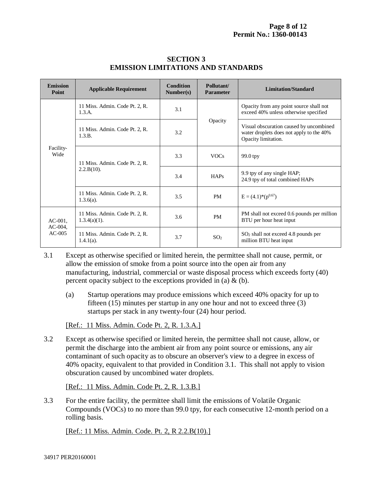| <b>Emission</b><br>Point             | <b>Applicable Requirement</b>                     | Condition<br>Number(s) | Pollutant/<br><b>Parameter</b> | Limitation/Standard                                                                                        |
|--------------------------------------|---------------------------------------------------|------------------------|--------------------------------|------------------------------------------------------------------------------------------------------------|
| Facility-<br>Wide                    | 11 Miss. Admin. Code Pt. 2, R.<br>1.3.A.          | 3.1                    |                                | Opacity from any point source shall not<br>exceed 40% unless otherwise specified                           |
|                                      | 11 Miss. Admin. Code Pt. 2, R.<br>1.3.B.          | 3.2                    | Opacity                        | Visual obscuration caused by uncombined<br>water droplets does not apply to the 40%<br>Opacity limitation. |
|                                      | 11 Miss. Admin. Code Pt. 2, R.<br>$2.2.B(10)$ .   | 3.3                    | <b>VOCs</b>                    | $99.0$ tpy                                                                                                 |
|                                      |                                                   | 3.4                    | <b>HAPs</b>                    | 9.9 tpy of any single HAP;<br>24.9 tpy of total combined HAPs                                              |
|                                      | 11 Miss. Admin. Code Pt. 2, R.<br>$1.3.6(a)$ .    | 3.5                    | PM                             | $E = (4.1)^*(p^{0.67})$                                                                                    |
| $AC-001$ .<br>$AC-004$ ,<br>$AC-005$ | 11 Miss. Admin. Code Pt. 2, R.<br>$1.3.4(a)(1)$ . | 3.6                    | <b>PM</b>                      | PM shall not exceed 0.6 pounds per million<br>BTU per hour heat input                                      |
|                                      | 11 Miss. Admin. Code Pt. 2, R.<br>$1.4.1(a)$ .    | 3.7                    | SO <sub>2</sub>                | $SO2$ shall not exceed 4.8 pounds per<br>million BTU heat input                                            |

#### **SECTION 3 EMISSION LIMITATIONS AND STANDARDS**

3.1 Except as otherwise specified or limited herein, the permittee shall not cause, permit, or allow the emission of smoke from a point source into the open air from any manufacturing, industrial, commercial or waste disposal process which exceeds forty (40) percent opacity subject to the exceptions provided in (a)  $\&$  (b).

(a) Startup operations may produce emissions which exceed 40% opacity for up to fifteen (15) minutes per startup in any one hour and not to exceed three (3) startups per stack in any twenty-four (24) hour period.

[Ref.: 11 Miss. Admin. Code Pt. 2, R. 1.3.A.]

3.2 Except as otherwise specified or limited herein, the permittee shall not cause, allow, or permit the discharge into the ambient air from any point source or emissions, any air contaminant of such opacity as to obscure an observer's view to a degree in excess of 40% opacity, equivalent to that provided in Condition 3.1. This shall not apply to vision obscuration caused by uncombined water droplets.

[Ref.: 11 Miss. Admin. Code Pt. 2, R. 1.3.B.]

3.3 For the entire facility, the permittee shall limit the emissions of Volatile Organic Compounds (VOCs) to no more than 99.0 tpy, for each consecutive 12-month period on a rolling basis.

[Ref.: 11 Miss. Admin. Code. Pt. 2, R 2.2.B(10).]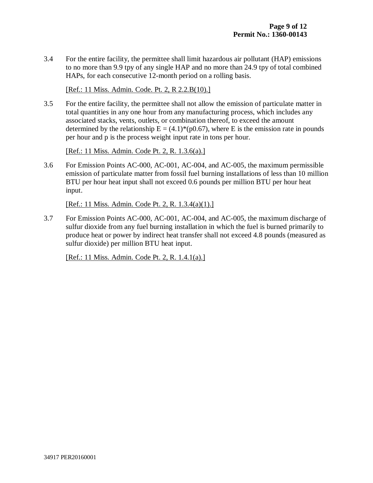3.4 For the entire facility, the permittee shall limit hazardous air pollutant (HAP) emissions to no more than 9.9 tpy of any single HAP and no more than 24.9 tpy of total combined HAPs, for each consecutive 12-month period on a rolling basis.

[Ref.: 11 Miss. Admin. Code. Pt. 2, R 2.2.B(10).]

3.5 For the entire facility, the permittee shall not allow the emission of particulate matter in total quantities in any one hour from any manufacturing process, which includes any associated stacks, vents, outlets, or combination thereof, to exceed the amount determined by the relationship  $E = (4.1)^*(p0.67)$ , where E is the emission rate in pounds per hour and p is the process weight input rate in tons per hour.

[Ref.: 11 Miss. Admin. Code Pt. 2, R. 1.3.6(a).]

3.6 For Emission Points AC-000, AC-001, AC-004, and AC-005, the maximum permissible emission of particulate matter from fossil fuel burning installations of less than 10 million BTU per hour heat input shall not exceed 0.6 pounds per million BTU per hour heat input.

[Ref.: 11 Miss. Admin. Code Pt. 2, R. 1.3.4(a)(1).]

3.7 For Emission Points AC-000, AC-001, AC-004, and AC-005, the maximum discharge of sulfur dioxide from any fuel burning installation in which the fuel is burned primarily to produce heat or power by indirect heat transfer shall not exceed 4.8 pounds (measured as sulfur dioxide) per million BTU heat input.

[Ref.: 11 Miss. Admin. Code Pt. 2, R. 1.4.1(a).]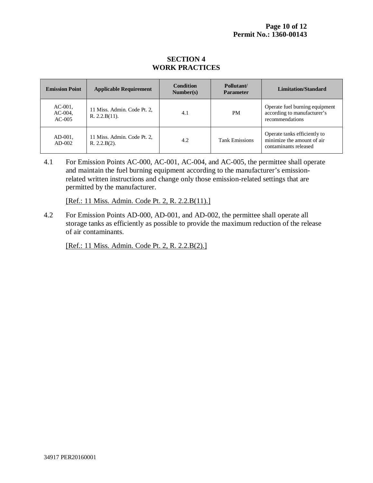#### **SECTION 4 WORK PRACTICES**

| <b>Emission Point</b>                | <b>Applicable Requirement</b>                | <b>Condition</b><br>Number(s) | Pollutant/<br><b>Parameter</b> | Limitation/Standard                                                                 |
|--------------------------------------|----------------------------------------------|-------------------------------|--------------------------------|-------------------------------------------------------------------------------------|
| $AC-001$ ,<br>$AC-004$ ,<br>$AC-005$ | 11 Miss. Admin. Code Pt. 2,<br>R. 2.2.B(11). | 4.1                           | <b>PM</b>                      | Operate fuel burning equipment<br>according to manufacturer's<br>recommendations    |
| $AD-001$ ,<br>$AD-002$               | 11 Miss. Admin. Code Pt. 2,<br>R. 2.2.B(2).  | 4.2                           | <b>Tank Emissions</b>          | Operate tanks efficiently to<br>minimize the amount of air<br>contaminants released |

4.1 For Emission Points AC-000, AC-001, AC-004, and AC-005, the permittee shall operate and maintain the fuel burning equipment according to the manufacturer's emissionrelated written instructions and change only those emission-related settings that are permitted by the manufacturer.

[Ref.: 11 Miss. Admin. Code Pt. 2, R. 2.2.B(11).]

4.2 For Emission Points AD-000, AD-001, and AD-002, the permittee shall operate all storage tanks as efficiently as possible to provide the maximum reduction of the release of air contaminants.

[Ref.: 11 Miss. Admin. Code Pt. 2, R. 2.2.B(2).]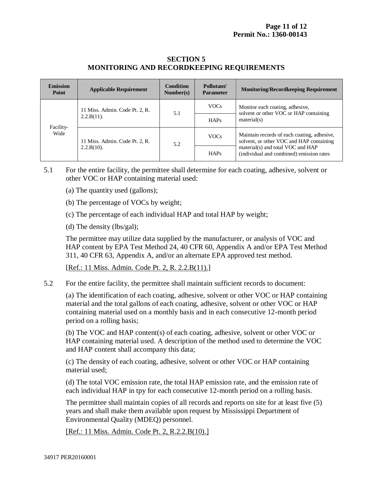#### **SECTION 5 MONITORING AND RECORDKEEPING REQUIREMENTS**

| <b>Emission</b><br>Point | <b>Applicable Requirement</b>                   | <b>Condition</b><br>Number(s) | Pollutant/<br><b>Parameter</b> | <b>Monitoring/Recordkeeping Requirement</b>                                                                                                                              |
|--------------------------|-------------------------------------------------|-------------------------------|--------------------------------|--------------------------------------------------------------------------------------------------------------------------------------------------------------------------|
| Facility-<br>Wide        | 11 Miss. Admin. Code Pt. 2, R.<br>$2.2.B(11)$ . | 5.1                           | <b>VOCs</b>                    | Monitor each coating, adhesive,<br>solvent or other VOC or HAP containing<br>material(s)                                                                                 |
|                          |                                                 |                               | <b>HAPs</b>                    |                                                                                                                                                                          |
|                          | 11 Miss. Admin. Code Pt. 2, R.                  | 5.2                           | <b>VOCs</b>                    | Maintain records of each coating, adhesive,<br>solvent, or other VOC and HAP containing<br>material(s) and total VOC and HAP<br>(individual and combined) emission rates |
|                          | $2.2.B(10)$ .                                   |                               | <b>HAPs</b>                    |                                                                                                                                                                          |

5.1 For the entire facility, the permittee shall determine for each coating, adhesive, solvent or other VOC or HAP containing material used:

- (a) The quantity used (gallons);
- (b) The percentage of VOCs by weight;
- (c) The percentage of each individual HAP and total HAP by weight;
- (d) The density (lbs/gal);

The permittee may utilize data supplied by the manufacturer, or analysis of VOC and HAP content by EPA Test Method 24, 40 CFR 60, Appendix A and/or EPA Test Method 311, 40 CFR 63, Appendix A, and/or an alternate EPA approved test method.

[Ref.: 11 Miss. Admin. Code Pt. 2, R. 2.2.B(11).]

5.2 For the entire facility, the permittee shall maintain sufficient records to document:

(a) The identification of each coating, adhesive, solvent or other VOC or HAP containing material and the total gallons of each coating, adhesive, solvent or other VOC or HAP containing material used on a monthly basis and in each consecutive 12-month period period on a rolling basis;

(b) The VOC and HAP content(s) of each coating, adhesive, solvent or other VOC or HAP containing material used. A description of the method used to determine the VOC and HAP content shall accompany this data;

(c) The density of each coating, adhesive, solvent or other VOC or HAP containing material used;

(d) The total VOC emission rate, the total HAP emission rate, and the emission rate of each individual HAP in tpy for each consecutive 12-month period on a rolling basis.

The permittee shall maintain copies of all records and reports on site for at least five (5) years and shall make them available upon request by Mississippi Department of Environmental Quality (MDEQ) personnel.

[Ref.: 11 Miss. Admin. Code Pt. 2, R.2.2.B(10).]